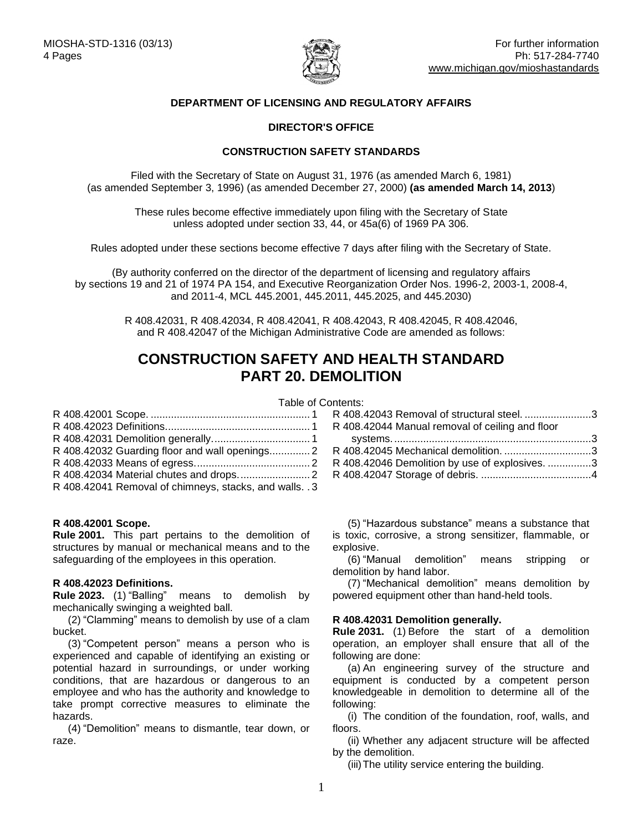

# **DEPARTMENT OF LICENSING AND REGULATORY AFFAIRS**

## **DIRECTOR'S OFFICE**

## **CONSTRUCTION SAFETY STANDARDS**

Filed with the Secretary of State on August 31, 1976 (as amended March 6, 1981) (as amended September 3, 1996) (as amended December 27, 2000) **(as amended March 14, 2013**)

These rules become effective immediately upon filing with the Secretary of State unless adopted under section 33, 44, or 45a(6) of 1969 PA 306.

Rules adopted under these sections become effective 7 days after filing with the Secretary of State.

(By authority conferred on the director of the department of licensing and regulatory affairs by sections 19 and 21 of 1974 PA 154, and Executive Reorganization Order Nos. 1996-2, 2003-1, 2008-4, and 2011-4, MCL 445.2001, 445.2011, 445.2025, and 445.2030)

> R 408.42031, R 408.42034, R 408.42041, R 408.42043, R 408.42045, R 408.42046, and R 408.42047 of the Michigan Administrative Code are amended as follows:

# **CONSTRUCTION SAFETY AND HEALTH STANDARD PART 20. DEMOLITION**

# Table of Contents:

| R 408.42032 Guarding floor and wall openings 2          |  |
|---------------------------------------------------------|--|
|                                                         |  |
|                                                         |  |
| R 408.42041 Removal of chimneys, stacks, and walls. . 3 |  |

#### **R 408.42001 Scope.**

**Rule 2001.** This part pertains to the demolition of structures by manual or mechanical means and to the safeguarding of the employees in this operation.

#### <span id="page-0-1"></span>**R 408.42023 Definitions.**

**Rule 2023.** (1) "Balling" means to demolish by mechanically swinging a weighted ball.

(2) "Clamming" means to demolish by use of a clam bucket.

(3) "Competent person" means a person who is experienced and capable of identifying an existing or potential hazard in surroundings, or under working conditions, that are hazardous or dangerous to an employee and who has the authority and knowledge to take prompt corrective measures to eliminate the hazards.

(4) "Demolition" means to dismantle, tear down, or raze.

| R 408.42043 Removal of structural steel. 3     |
|------------------------------------------------|
|                                                |
|                                                |
| R 408.42045 Mechanical demolition. 3           |
| R 408.42046 Demolition by use of explosives. 3 |
|                                                |
|                                                |

<span id="page-0-0"></span>(5) "Hazardous substance" means a substance that is toxic, corrosive, a strong sensitizer, flammable, or explosive.

(6) "Manual demolition" means stripping or demolition by hand labor.

(7) "Mechanical demolition" means demolition by powered equipment other than hand-held tools.

#### <span id="page-0-2"></span>**R 408.42031 Demolition generally.**

**Rule 2031.** (1) Before the start of a demolition operation, an employer shall ensure that all of the following are done:

(a) An engineering survey of the structure and equipment is conducted by a competent person knowledgeable in demolition to determine all of the following:

(i) The condition of the foundation, roof, walls, and floors.

(ii) Whether any adjacent structure will be affected by the demolition.

(iii)The utility service entering the building.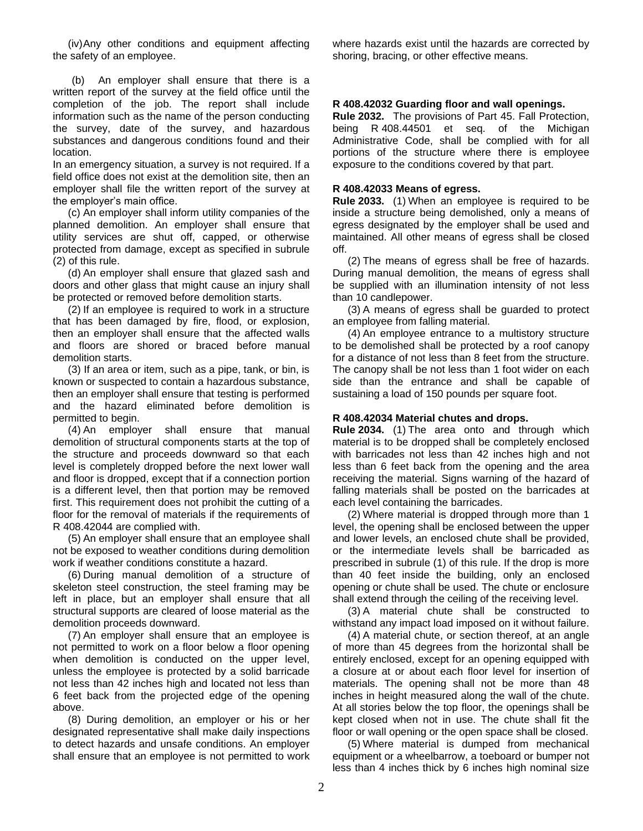(iv)Any other conditions and equipment affecting the safety of an employee.

(b) An employer shall ensure that there is a written report of the survey at the field office until the completion of the job. The report shall include information such as the name of the person conducting the survey, date of the survey, and hazardous substances and dangerous conditions found and their location.

In an emergency situation, a survey is not required. If a field office does not exist at the demolition site, then an employer shall file the written report of the survey at the employer's main office.

(c) An employer shall inform utility companies of the planned demolition. An employer shall ensure that utility services are shut off, capped, or otherwise protected from damage, except as specified in subrule (2) of this rule.

(d) An employer shall ensure that glazed sash and doors and other glass that might cause an injury shall be protected or removed before demolition starts.

(2) If an employee is required to work in a structure that has been damaged by fire, flood, or explosion, then an employer shall ensure that the affected walls and floors are shored or braced before manual demolition starts.

(3) If an area or item, such as a pipe, tank, or bin, is known or suspected to contain a hazardous substance, then an employer shall ensure that testing is performed and the hazard eliminated before demolition is permitted to begin.

(4) An employer shall ensure that manual demolition of structural components starts at the top of the structure and proceeds downward so that each level is completely dropped before the next lower wall and floor is dropped, except that if a connection portion is a different level, then that portion may be removed first. This requirement does not prohibit the cutting of a floor for the removal of materials if the requirements of R 408.42044 are complied with.

(5) An employer shall ensure that an employee shall not be exposed to weather conditions during demolition work if weather conditions constitute a hazard.

(6) During manual demolition of a structure of skeleton steel construction, the steel framing may be left in place, but an employer shall ensure that all structural supports are cleared of loose material as the demolition proceeds downward.

(7) An employer shall ensure that an employee is not permitted to work on a floor below a floor opening when demolition is conducted on the upper level, unless the employee is protected by a solid barricade not less than 42 inches high and located not less than 6 feet back from the projected edge of the opening above.

(8) During demolition, an employer or his or her designated representative shall make daily inspections to detect hazards and unsafe conditions. An employer shall ensure that an employee is not permitted to work where hazards exist until the hazards are corrected by shoring, bracing, or other effective means.

## <span id="page-1-0"></span>**R 408.42032 Guarding floor and wall openings.**

**Rule 2032.** The provisions of Part 45. Fall Protection, being R 408.44501 et seq. of the Michigan Administrative Code, shall be complied with for all portions of the structure where there is employee exposure to the conditions covered by that part.

#### <span id="page-1-1"></span>**R 408.42033 Means of egress.**

**Rule 2033.** (1) When an employee is required to be inside a structure being demolished, only a means of egress designated by the employer shall be used and maintained. All other means of egress shall be closed off.

(2) The means of egress shall be free of hazards. During manual demolition, the means of egress shall be supplied with an illumination intensity of not less than 10 candlepower.

(3) A means of egress shall be guarded to protect an employee from falling material.

(4) An employee entrance to a multistory structure to be demolished shall be protected by a roof canopy for a distance of not less than 8 feet from the structure. The canopy shall be not less than 1 foot wider on each side than the entrance and shall be capable of sustaining a load of 150 pounds per square foot.

#### <span id="page-1-2"></span>**R 408.42034 Material chutes and drops.**

**Rule 2034.** (1) The area onto and through which material is to be dropped shall be completely enclosed with barricades not less than 42 inches high and not less than 6 feet back from the opening and the area receiving the material. Signs warning of the hazard of falling materials shall be posted on the barricades at each level containing the barricades.

(2) Where material is dropped through more than 1 level, the opening shall be enclosed between the upper and lower levels, an enclosed chute shall be provided, or the intermediate levels shall be barricaded as prescribed in subrule (1) of this rule. If the drop is more than 40 feet inside the building, only an enclosed opening or chute shall be used. The chute or enclosure shall extend through the ceiling of the receiving level.

(3) A material chute shall be constructed to withstand any impact load imposed on it without failure.

(4) A material chute, or section thereof, at an angle of more than 45 degrees from the horizontal shall be entirely enclosed, except for an opening equipped with a closure at or about each floor level for insertion of materials. The opening shall not be more than 48 inches in height measured along the wall of the chute. At all stories below the top floor, the openings shall be kept closed when not in use. The chute shall fit the floor or wall opening or the open space shall be closed.

(5) Where material is dumped from mechanical equipment or a wheelbarrow, a toeboard or bumper not less than 4 inches thick by 6 inches high nominal size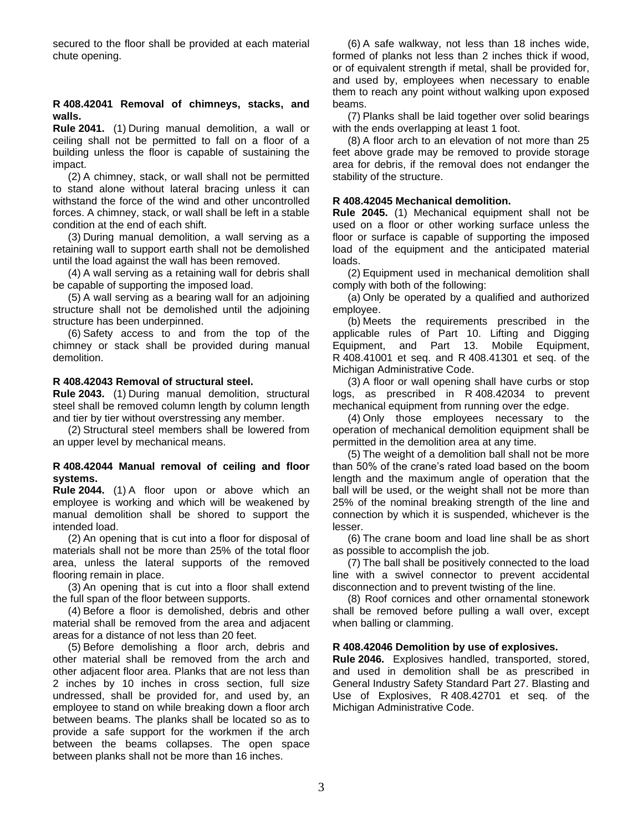secured to the floor shall be provided at each material chute opening.

#### <span id="page-2-0"></span>**R 408.42041 Removal of chimneys, stacks, and walls.**

**Rule 2041.** (1) During manual demolition, a wall or ceiling shall not be permitted to fall on a floor of a building unless the floor is capable of sustaining the impact.

(2) A chimney, stack, or wall shall not be permitted to stand alone without lateral bracing unless it can withstand the force of the wind and other uncontrolled forces. A chimney, stack, or wall shall be left in a stable condition at the end of each shift.

(3) During manual demolition, a wall serving as a retaining wall to support earth shall not be demolished until the load against the wall has been removed.

(4) A wall serving as a retaining wall for debris shall be capable of supporting the imposed load.

(5) A wall serving as a bearing wall for an adjoining structure shall not be demolished until the adjoining structure has been underpinned.

(6) Safety access to and from the top of the chimney or stack shall be provided during manual demolition.

#### <span id="page-2-1"></span>**R 408.42043 Removal of structural steel.**

**Rule 2043.** (1) During manual demolition, structural steel shall be removed column length by column length and tier by tier without overstressing any member.

(2) Structural steel members shall be lowered from an upper level by mechanical means.

#### <span id="page-2-2"></span>**R 408.42044 Manual removal of ceiling and floor systems.**

**Rule 2044.** (1) A floor upon or above which an employee is working and which will be weakened by manual demolition shall be shored to support the intended load.

(2) An opening that is cut into a floor for disposal of materials shall not be more than 25% of the total floor area, unless the lateral supports of the removed flooring remain in place.

(3) An opening that is cut into a floor shall extend the full span of the floor between supports.

(4) Before a floor is demolished, debris and other material shall be removed from the area and adjacent areas for a distance of not less than 20 feet.

(5) Before demolishing a floor arch, debris and other material shall be removed from the arch and other adjacent floor area. Planks that are not less than 2 inches by 10 inches in cross section, full size undressed, shall be provided for, and used by, an employee to stand on while breaking down a floor arch between beams. The planks shall be located so as to provide a safe support for the workmen if the arch between the beams collapses. The open space between planks shall not be more than 16 inches.

(6) A safe walkway, not less than 18 inches wide, formed of planks not less than 2 inches thick if wood, or of equivalent strength if metal, shall be provided for, and used by, employees when necessary to enable them to reach any point without walking upon exposed beams.

(7) Planks shall be laid together over solid bearings with the ends overlapping at least 1 foot.

(8) A floor arch to an elevation of not more than 25 feet above grade may be removed to provide storage area for debris, if the removal does not endanger the stability of the structure.

#### <span id="page-2-3"></span>**R 408.42045 Mechanical demolition.**

**Rule 2045.** (1) Mechanical equipment shall not be used on a floor or other working surface unless the floor or surface is capable of supporting the imposed load of the equipment and the anticipated material loads.

(2) Equipment used in mechanical demolition shall comply with both of the following:

(a) Only be operated by a qualified and authorized employee.

(b) Meets the requirements prescribed in the applicable rules of Part 10. Lifting and Digging Equipment, and Part 13. Mobile Equipment, R 408.41001 et seq. and R 408.41301 et seq. of the Michigan Administrative Code.

(3) A floor or wall opening shall have curbs or stop logs, as prescribed in R 408.42034 to prevent mechanical equipment from running over the edge.

(4) Only those employees necessary to the operation of mechanical demolition equipment shall be permitted in the demolition area at any time.

(5) The weight of a demolition ball shall not be more than 50% of the crane's rated load based on the boom length and the maximum angle of operation that the ball will be used, or the weight shall not be more than 25% of the nominal breaking strength of the line and connection by which it is suspended, whichever is the lesser.

(6) The crane boom and load line shall be as short as possible to accomplish the job.

(7) The ball shall be positively connected to the load line with a swivel connector to prevent accidental disconnection and to prevent twisting of the line.

(8) Roof cornices and other ornamental stonework shall be removed before pulling a wall over, except when balling or clamming.

#### <span id="page-2-4"></span>**R 408.42046 Demolition by use of explosives.**

<span id="page-2-5"></span>**Rule 2046.** Explosives handled, transported, stored, and used in demolition shall be as prescribed in General Industry Safety Standard Part 27. Blasting and Use of Explosives, R 408.42701 et seq. of the Michigan Administrative Code.